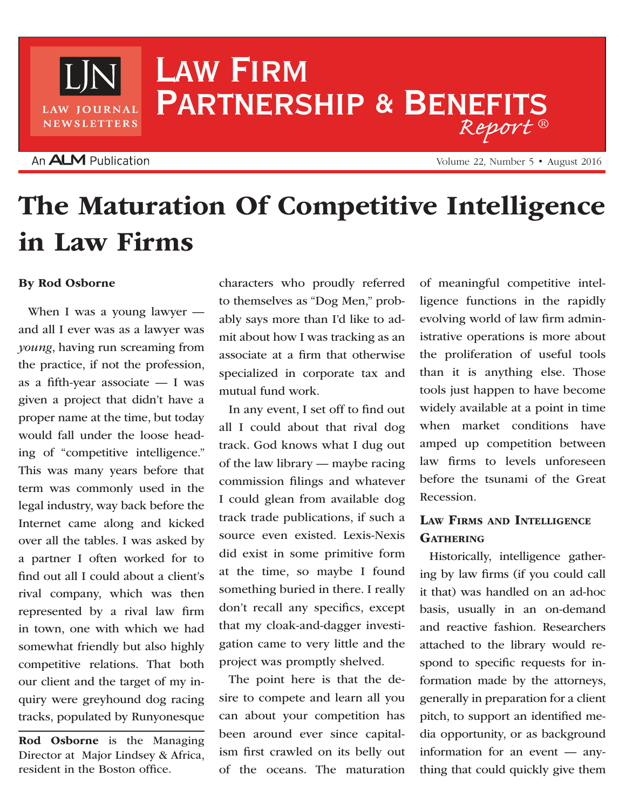## Law Firm PARTNERSHIP & BENEFITS *Report* ®

## An **ALM** Publication

LAW JOURNAL **NEWSLETTERS** 

Volume 22, Number 5 • August 2016

# The Maturation Of Competitive Intelligence in Law Firms

#### By Rod Osborne

When I was a young lawyer and all I ever was as a lawyer was *young*, having run screaming from the practice, if not the profession, as a fifth-year associate — I was given a project that didn't have a proper name at the time, but today would fall under the loose heading of "competitive intelligence." This was many years before that term was commonly used in the legal industry, way back before the Internet came along and kicked over all the tables. I was asked by a partner I often worked for to find out all I could about a client's rival company, which was then represented by a rival law firm in town, one with which we had somewhat friendly but also highly competitive relations. That both our client and the target of my inquiry were greyhound dog racing tracks, populated by Runyonesque

Rod Osborne is the Managing Director at Major Lindsey & Africa, resident in the Boston office.

characters who proudly referred to themselves as "Dog Men," probably says more than I'd like to admit about how I was tracking as an associate at a firm that otherwise specialized in corporate tax and mutual fund work.

In any event, I set off to find out all I could about that rival dog track. God knows what I dug out of the law library — maybe racing commission filings and whatever I could glean from available dog track trade publications, if such a source even existed. Lexis-Nexis did exist in some primitive form at the time, so maybe I found something buried in there. I really don't recall any specifics, except that my cloak-and-dagger investigation came to very little and the project was promptly shelved.

The point here is that the desire to compete and learn all you can about your competition has been around ever since capitalism first crawled on its belly out of the oceans. The maturation of meaningful competitive intelligence functions in the rapidly evolving world of law firm administrative operations is more about the proliferation of useful tools than it is anything else. Those tools just happen to have become widely available at a point in time when market conditions have amped up competition between law firms to levels unforeseen before the tsunami of the Great Recession.

## Law Firms and Intelligence **GATHERING**

Historically, intelligence gathering by law firms (if you could call it that) was handled on an ad-hoc basis, usually in an on-demand and reactive fashion. Researchers attached to the library would respond to specific requests for information made by the attorneys, generally in preparation for a client pitch, to support an identified media opportunity, or as background information for an event — anything that could quickly give them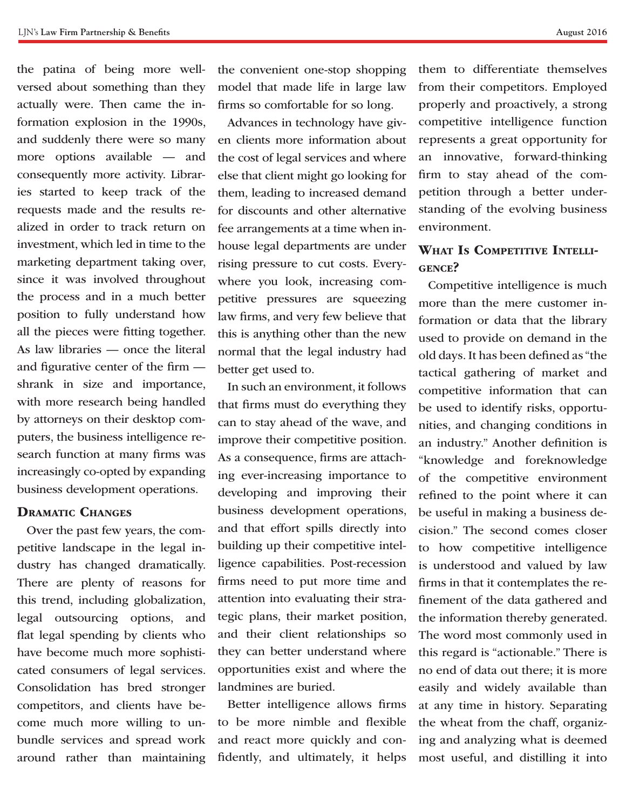the patina of being more wellversed about something than they actually were. Then came the information explosion in the 1990s, and suddenly there were so many more options available — and consequently more activity. Libraries started to keep track of the requests made and the results realized in order to track return on investment, which led in time to the marketing department taking over, since it was involved throughout the process and in a much better position to fully understand how all the pieces were fitting together. As law libraries — once the literal and figurative center of the firm shrank in size and importance, with more research being handled by attorneys on their desktop computers, the business intelligence research function at many firms was increasingly co-opted by expanding business development operations.

#### Dramatic Changes

Over the past few years, the competitive landscape in the legal industry has changed dramatically. There are plenty of reasons for this trend, including globalization, legal outsourcing options, and flat legal spending by clients who have become much more sophisticated consumers of legal services. Consolidation has bred stronger competitors, and clients have become much more willing to unbundle services and spread work around rather than maintaining

the convenient one-stop shopping model that made life in large law firms so comfortable for so long.

Advances in technology have given clients more information about the cost of legal services and where else that client might go looking for them, leading to increased demand for discounts and other alternative fee arrangements at a time when inhouse legal departments are under rising pressure to cut costs. Everywhere you look, increasing competitive pressures are squeezing law firms, and very few believe that this is anything other than the new normal that the legal industry had better get used to.

In such an environment, it follows that firms must do everything they can to stay ahead of the wave, and improve their competitive position. As a consequence, firms are attaching ever-increasing importance to developing and improving their business development operations, and that effort spills directly into building up their competitive intelligence capabilities. Post-recession firms need to put more time and attention into evaluating their strategic plans, their market position, and their client relationships so they can better understand where opportunities exist and where the landmines are buried.

Better intelligence allows firms to be more nimble and flexible and react more quickly and confidently, and ultimately, it helps

them to differentiate themselves from their competitors. Employed properly and proactively, a strong competitive intelligence function represents a great opportunity for an innovative, forward-thinking firm to stay ahead of the competition through a better understanding of the evolving business environment.

### WHAT IS COMPETITIVE INTELLIgence?

Competitive intelligence is much more than the mere customer information or data that the library used to provide on demand in the old days. It has been defined as "the tactical gathering of market and competitive information that can be used to identify risks, opportunities, and changing conditions in an industry." Another definition is "knowledge and foreknowledge of the competitive environment refined to the point where it can be useful in making a business decision." The second comes closer to how competitive intelligence is understood and valued by law firms in that it contemplates the refinement of the data gathered and the information thereby generated. The word most commonly used in this regard is "actionable." There is no end of data out there; it is more easily and widely available than at any time in history. Separating the wheat from the chaff, organizing and analyzing what is deemed most useful, and distilling it into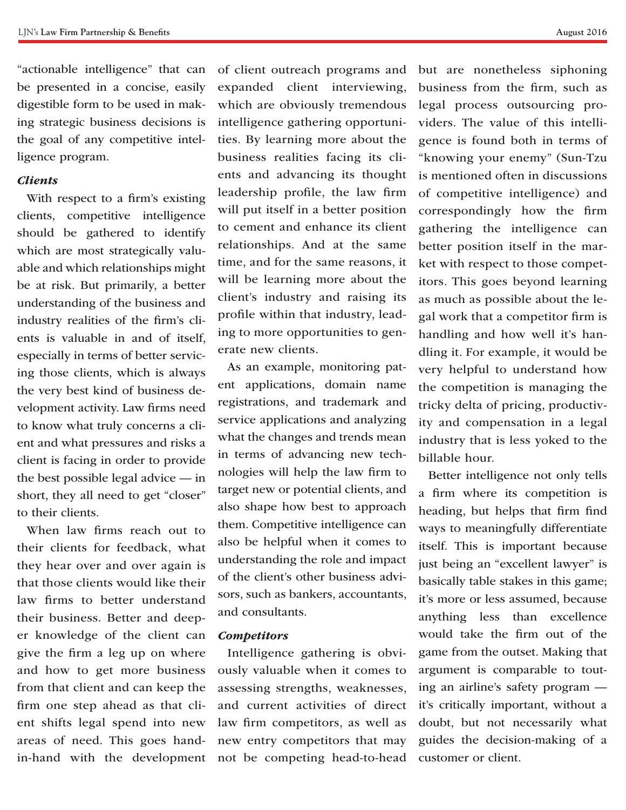"actionable intelligence" that can be presented in a concise, easily digestible form to be used in making strategic business decisions is the goal of any competitive intelligence program.

#### *Clients*

With respect to a firm's existing clients, competitive intelligence should be gathered to identify which are most strategically valuable and which relationships might be at risk. But primarily, a better understanding of the business and industry realities of the firm's clients is valuable in and of itself, especially in terms of better servicing those clients, which is always the very best kind of business development activity. Law firms need to know what truly concerns a client and what pressures and risks a client is facing in order to provide the best possible legal advice — in short, they all need to get "closer" to their clients.

When law firms reach out to their clients for feedback, what they hear over and over again is that those clients would like their law firms to better understand their business. Better and deeper knowledge of the client can give the firm a leg up on where and how to get more business from that client and can keep the firm one step ahead as that client shifts legal spend into new areas of need. This goes handin-hand with the development

of client outreach programs and expanded client interviewing, which are obviously tremendous intelligence gathering opportunities. By learning more about the business realities facing its clients and advancing its thought leadership profile, the law firm will put itself in a better position to cement and enhance its client relationships. And at the same time, and for the same reasons, it will be learning more about the client's industry and raising its profile within that industry, leading to more opportunities to generate new clients.

As an example, monitoring patent applications, domain name registrations, and trademark and service applications and analyzing what the changes and trends mean in terms of advancing new technologies will help the law firm to target new or potential clients, and also shape how best to approach them. Competitive intelligence can also be helpful when it comes to understanding the role and impact of the client's other business advisors, such as bankers, accountants, and consultants.

#### *Competitors*

Intelligence gathering is obviously valuable when it comes to assessing strengths, weaknesses, and current activities of direct law firm competitors, as well as new entry competitors that may not be competing head-to-head but are nonetheless siphoning business from the firm, such as legal process outsourcing providers. The value of this intelligence is found both in terms of "knowing your enemy" (Sun-Tzu is mentioned often in discussions of competitive intelligence) and correspondingly how the firm gathering the intelligence can better position itself in the market with respect to those competitors. This goes beyond learning as much as possible about the legal work that a competitor firm is handling and how well it's handling it. For example, it would be very helpful to understand how the competition is managing the tricky delta of pricing, productivity and compensation in a legal industry that is less yoked to the billable hour.

Better intelligence not only tells a firm where its competition is heading, but helps that firm find ways to meaningfully differentiate itself. This is important because just being an "excellent lawyer" is basically table stakes in this game; it's more or less assumed, because anything less than excellence would take the firm out of the game from the outset. Making that argument is comparable to touting an airline's safety program it's critically important, without a doubt, but not necessarily what guides the decision-making of a customer or client.